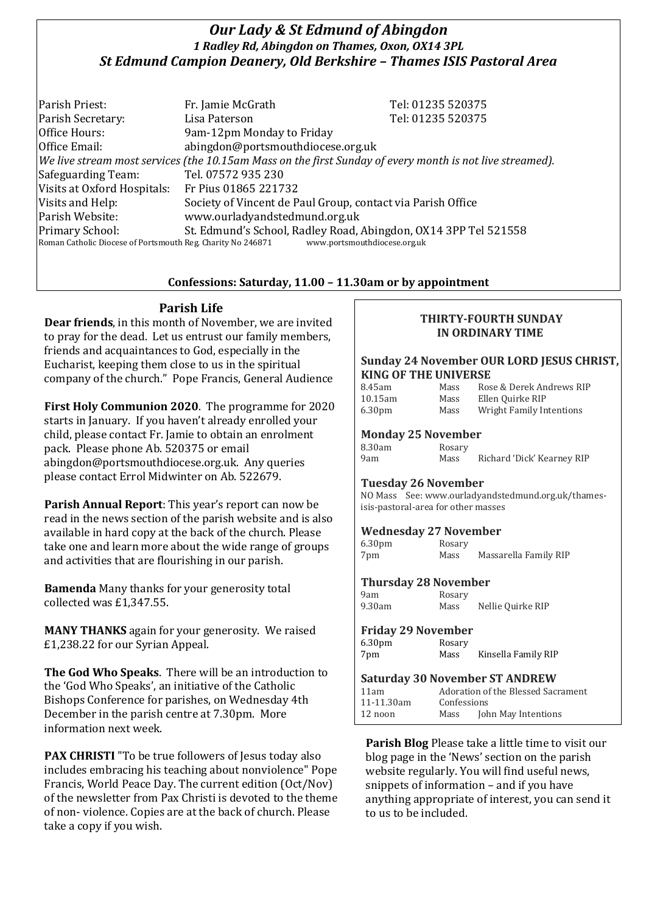# *Our Lady & St Edmund of Abingdon 1 Radley Rd, Abingdon on Thames, Oxon, OX14 3PL St Edmund Campion Deanery, Old Berkshire – Thames ISIS Pastoral Area*

Parish Priest: Fr. Jamie McGrath Tel: 01235 520375 Parish Secretary: Tel: 01235 520375 Office Hours: 9am-12pm Monday to Friday Office Email: abingdon@portsmouthdiocese.org.uk *We live stream most services (the 10.15am Mass on the first Sunday of every month is not live streamed).* Safeguarding Team: Tel. 07572 935 230 Visits at Oxford Hospitals: Fr Pius 01865 221732 Visits and Help: Society of Vincent de Paul Group, contact via Parish Office Parish Website: www.ourladyandstedmund.org.uk Primary School: St. Edmund's School, Radley Road, Abingdon, OX14 3PP Tel 521558 Roman Catholic Diocese of Portsmouth Reg. Charity No 246871 www.portsmouthdiocese.org.uk

## **Confessions: Saturday, 11.00 – 11.30am or by appointment**

## **Parish Life**

**Dear friends**, in this month of November, we are invited to pray for the dead. Let us entrust our family members, friends and acquaintances to God, especially in the Eucharist, keeping them close to us in the spiritual company of the church." Pope Francis, General Audience

**First Holy Communion 2020**. The programme for 2020 starts in January. If you haven't already enrolled your child, please contact Fr. Jamie to obtain an enrolment pack. Please phone Ab. 520375 or email abingdon@portsmouthdiocese.org.uk. Any queries please contact Errol Midwinter on Ab. 522679.

**Parish Annual Report**: This year's report can now be read in the news section of the parish website and is also available in hard copy at the back of the church. Please take one and learn more about the wide range of groups and activities that are flourishing in our parish.

**Bamenda** Many thanks for your generosity total collected was £1,347.55.

**MANY THANKS** again for your generosity. We raised £1,238.22 for our Syrian Appeal.

**The God Who Speaks**. There will be an introduction to the 'God Who Speaks', an initiative of the Catholic Bishops Conference for parishes, on Wednesday 4th December in the parish centre at 7.30pm. More information next week.

**PAX CHRISTI** "To be true followers of Jesus today also includes embracing his teaching about nonviolence" Pope Francis, World Peace Day. The current edition (Oct/Nov) of the newsletter from Pax Christi is devoted to the theme of non- violence. Copies are at the back of church. Please take a copy if you wish.

#### **THIRTY-FOURTH SUNDAY IN ORDINARY TIME**

#### **Sunday 24 November OUR LORD JESUS CHRIST, KING OF THE UNIVERSE**

| 8.45am                     | Mass   | Rose & Derek Andrews RIP        |  |  |  |
|----------------------------|--------|---------------------------------|--|--|--|
| 10.15am                    | Mass   | Ellen Quirke RIP                |  |  |  |
| 6.30 <sub>pm</sub>         | Mass   | <b>Wright Family Intentions</b> |  |  |  |
| <b>Monday 25 November</b>  |        |                                 |  |  |  |
| 8.30am                     | Rosary |                                 |  |  |  |
| 9am                        | Mass   | Richard 'Dick' Kearney RIP      |  |  |  |
| <b>Tuesday 26 November</b> |        |                                 |  |  |  |

NO Mass See: www.ourladyandstedmund.org.uk/thamesisis-pastoral-area for other masses

#### **Wednesday 27 November**

| 6.30 <sub>pm</sub> | Rosary |                       |
|--------------------|--------|-----------------------|
| 7pm                | Mass   | Massarella Family RIP |

#### **Thursday 28 November**

9am Rosary 9.30am Mass Nellie Quirke RIP

#### **Friday 29 November**

| 6.30 <sub>pm</sub> | Rosary |                     |
|--------------------|--------|---------------------|
| 7pm                | Mass   | Kinsella Family RIP |

| <b>Saturday 30 November ST ANDREW</b> |                                    |                     |  |  |
|---------------------------------------|------------------------------------|---------------------|--|--|
| 11am                                  | Adoration of the Blessed Sacrament |                     |  |  |
| 11-11.30am                            | Confessions                        |                     |  |  |
| 12 noon                               | Mass                               | John May Intentions |  |  |

**Parish Blog** Please take a little time to visit our blog page in the 'News' section on the parish website regularly. You will find useful news, snippets of information – and if you have anything appropriate of interest, you can send it to us to be included.